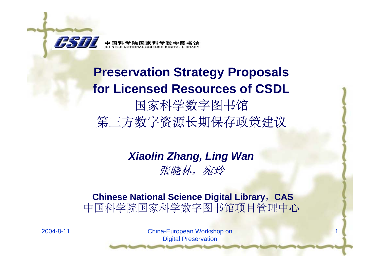

**Preservation Strategy Proposals for Licensed Resources of CSDL** 国家科学数字图书馆 第三方数字资源长期保存政策建议

### *Xiaolin Zhang, Ling Wan* 张晓林,宛玲

### **Chinese National Science Digital Library**,**CAS** 中国科学院国家科学数字图书馆项目管理中心

2004-8-11 China-European Workshop on Digital Preservation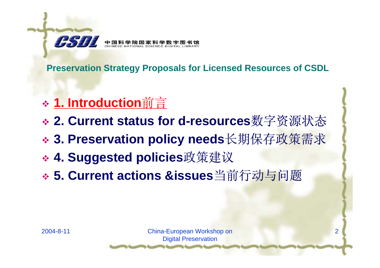

- **1. Introduction**前言
- **2. Current status for d-resources**数字资源状态
- **3. Preservation policy needs**长期保存政策需求
- **4. Suggested policies**政策建议
- **5. Current actions &issues**当前行动与问题

2004-8-11 China-European Workshop on Digital Preservation

 $\overline{\mathbf{c}}$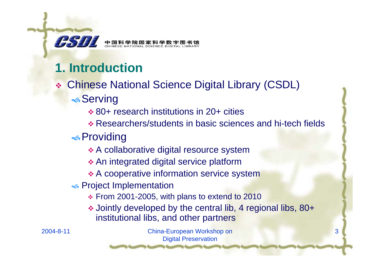

中国科学院国家和

## **1. Introduction**

- Chinese National Science Digital Library (CSDL)  $\triangle$ Serving
	- 80+ research institutions in 20+ cities
	- Researchers/students in basic sciences and hi-tech fields
	- $\triangle$  Providing
		- A collaborative digital resource system
		- An integrated digital service platform
		- $\triangle$  **A cooperative information service system**
	- $\bullet\hspace{-0.15cm}\bullet$  Project Implementation
		- From 2001-2005, with plans to extend to 2010
		- Jointly developed by the central lib, 4 regional libs, 80+ institutional libs, and other partners

3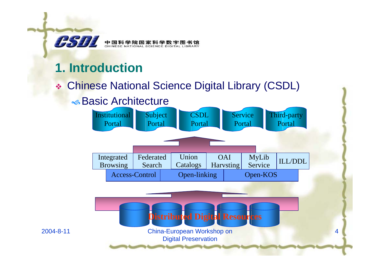

## **1. Introduction**

### Chinese National Science Digital Library (CSDL)

### $\bullet$  Basic Architecture

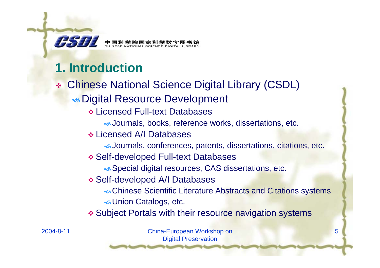

## **1. Introduction**

- Chinese National Science Digital Library (CSDL) **S** Digital Resource Development
	- Licensed Full-text Databases
		- \Journals, books, reference works, dissertations, etc.
	- Licensed A/I Databases
		- \Journals, conferences, patents, dissertations, citations, etc.
	- Self-developed Full-text Databases
		- **Special digital resources, CAS dissertations, etc.**
	- Self-developed A/I Databases
		- **«Chinese Scientific Literature Abstracts and Citations systems S** Union Catalogs, etc.
	- Subject Portals with their resource navigation systems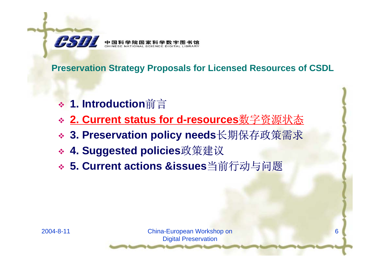

- **1. Introduction**前言
- **2. Current status for d-resources**数字资源状态
- **3. Preservation policy needs**长期保存政策需求
- **4. Suggested policies**政策建议
- **5. Current actions &issues**当前行动与问题



2004-8-11 China-European Workshop on Digital Preservation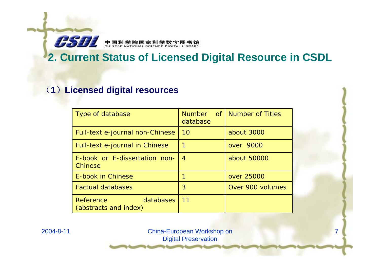

### **2. Current Status of Licensed Digital Resource in CSDL**

### (**1** )**Licensed digital resources**

| Type of database                                | Number of<br>database | <b>Number of Titles</b> |
|-------------------------------------------------|-----------------------|-------------------------|
| Full-text e-journal non-Chinese                 | 10                    | about 3000              |
| Full-text e-journal in Chinese                  |                       | over 9000               |
| E-book or E-dissertation non-<br>Chinese        | $\overline{4}$        | about 50000             |
| E-book in Chinese                               |                       | over 25000              |
| <b>Factual databases</b>                        | 3                     | Over 900 volumes        |
| Reference<br>databases<br>(abstracts and index) | 11                    |                         |

2004-8-11 China-European Workshop on Digital Preservation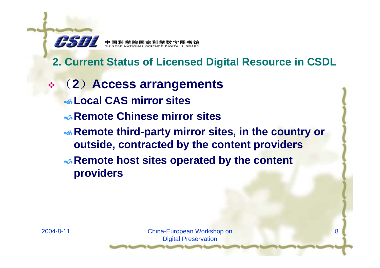

### **2. Current Status of Licensed Digital Resource in CSDL**

 ( **2** )**Access arrangements** \**Local CAS mirror sites**\**Remote Chinese mirror sitesRemote third-party mirror sites, in the country or outside, contracted by the content providers Remote host sites operated by the content providers**

2004-8-11 China-European Workshop on Digital Preservation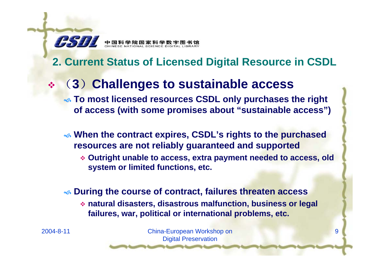

中国科学院国家科学数

### **2. Current Status of Licensed Digital Resource in CSDL**

### (**3** )**Challenges to sustainable access**

\ **To most licensed resources CSDL only purchases the right of access (with some promises about "sustainable access")**

\ **When the contract expires, CSDL's rights to the purchased resources are not reliably guaranteed and supported**

 **Outright unable to access, extra payment needed to access, old system or limited functions, etc.**

### \ **During the course of contract, failures threaten access**

 **natural disasters, disastrous malfunction, business or legal failures, war, political or international problems, etc.**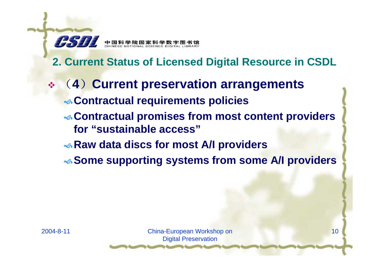

## **2. Current Status of Licensed Digital Resource in CSDL**

- ( **4** )**Current preservation arrangements** \**Contractual requirements policies** \**Contractual promises from most content providers for "sustainable access"**\**Raw data discs for most A/I providers**
	- \**Some supporting systems from some A/I providers**

10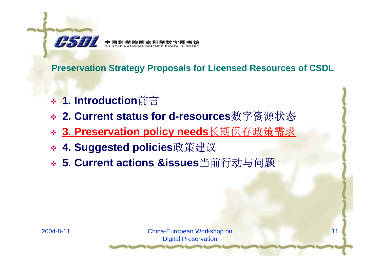

- **1. Introduction**前言
- **2. Current status for d-resources**数字资源状态
- **3. Preservation policy needs**长期保存政策需求
- **4. Suggested policies**政策建议
- **5. Current actions &issues**当前行动与问题

2004-8-11 China-European Workshop on Digital Preservation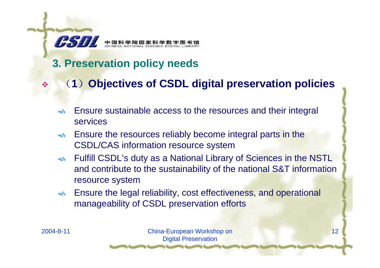

中国科学院国家科

### **3. Preservation policy needs**

- 嗪 (**1** )**Objectives of CSDL digital preservation policies**
	- $\sim$  Ensure sustainable access to the resources and their integral services
	- $\infty$  Ensure the resources reliably become integral parts in the CSDL/CAS information resource system
	- $\infty$  Fulfill CSDL's duty as a National Library of Sciences in the NSTL and contribute to the sustainability of the national S&T information resource system
	- $\mathbf{\hat{a}}$  Ensure the legal reliability, cost effectiveness, and operational manageability of CSDL preservation efforts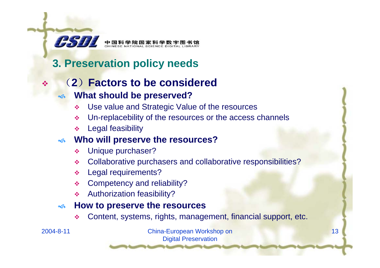

### **3. Preservation policy needs**

### $\frac{1}{2}$ (**2** )**Factors to be considered**

#### $\preccurlyeq$ **What should be preserved?**

- $\frac{1}{2}$ Use value and Strategic Value of the resources
- $\mathbf{e}^{\mathbf{e}}_{\mathbf{e}}$ Un-replacebility of the resources or the access channels
- $\frac{1}{2}$ Legal feasibility

#### $\infty$ **Who will preserve the resources?**

- ❖ Unique purchaser?
- Collaborative purchasers and collaborative responsibilities?
- Legal requirements?
- ❖ Competency and reliability?
- ❖ Authorization feasibility?

#### $\infty$ **How to preserve the resources**

❖ Content, systems, rights, management, financial support, etc.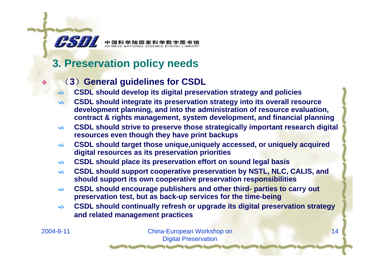### **3. Preservation policy needs**

中国科学院国家科学数字图书馆<br>CHINESE NATIONAL SCIENCE DIGITAL LIBRARY

### (**3** )**General guidelines for CSDL**

- $\blacklozenge$ **CSDL should develop its digital preservation strategy and policies**
- $\rightsquigarrow$  **CSDL should integrate its preservation strategy into its overall resource development planning, and into the administration of resource evaluation, contract & rights management, system development, and financial planning**
- $\hat{\mathbf{s}}$  **CSDL should strive to preserve those strategically important research digital resources even though they have print backups**
- $\mathbf{\hat{a}}$  **CSDL should target those unique,uniquely accessed, or uniquely acquired digital resources as its preservation priorities**
- $\mathfrak{S}$ **CSDL should place its preservation effort on sound legal basis**
- $\hat{\mathbf{a}}$  **CSDL should support cooperative preservation by NSTL, NLC, CALIS, and should support its own cooperative preservation responsibilities**
- $\hat{\mathbf{s}}$  **CSDL should encourage publishers and other third- parties to carry out preservation test, but as back-up services for the time-being**
- $\sim$  **CSDL should continually refresh or upgrade its digital preservation strategy and related management practices**

 $\frac{1}{2}$ 

75 T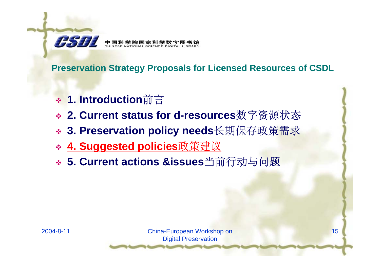

- **1. Introduction**前言
- **2. Current status for d-resources**数字资源状态
- **3. Preservation policy needs**长期保存政策需求
- **4. Suggested policies**政策建议
- **5. Current actions &issues**当前行动与问题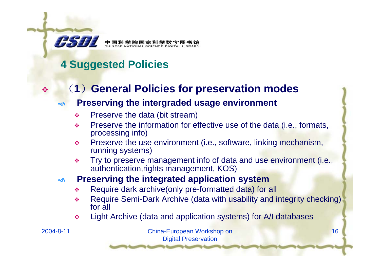

嗪

## **4 Suggested Policies**

### (**1** )**General Policies for preservation modes**

#### $\sim$ **Preserving the intergraded usage environment**

- $\frac{1}{2}$ Preserve the data (bit stream)
- $\frac{1}{2}$  Preserve the information for effective use of the data (i.e., formats, processing info)
- $\frac{1}{2}$  Preserve the use environment (i.e., software, linking mechanism, running systems)
- $\frac{1}{2}$  Try to preserve management info of data and use environment (i.e., authentication,rights management, KOS)

#### $\infty$ **Preserving the integrated application system**

- $\frac{1}{2}$ Require dark archive(only pre-formatted data) for all
- $\frac{\partial^2 u}{\partial x^2}$  Require Semi-Dark Archive (data with usability and integrity checking) for all
- $\mathcal{L}_{\mathbf{a}}^{\mathbf{b}}$ Light Archive (data and application systems) for A/I databases

2004-8-11 China-European Workshop on Digital Preservation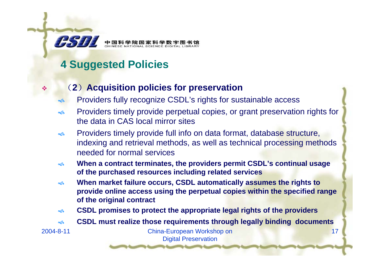### **4 Suggested Policies**

- (**2** )**Acquisition policies for preservation**
- $\infty$ Providers fully recognize CSDL's rights for sustainable access
- $\sim$  Providers timely provide perpetual copies, or grant preservation rights for the data in CAS local mirror sites
- $\sim$  Providers timely provide full info on data format, database structure, indexing and retrieval methods, as well as technical processing methods needed for normal services
- $\mathbf{\hat{a}}$  **When a contract terminates, the providers permit CSDL's continual usage of the purchased resources including related services**
- $\mathbf{\hat{a}}$  **When market failure occurs, CSDL automatically assumes the rights to provide online access using the perpetual copies within the specified range of the original contract**
- $\mathbf{\hat{a}}$ **CSDL promises to protect the appropriate legal rights of the providers**
- $\mathbf{\hat{a}}$ **CSDL must realize those requirements through legally binding documents**

 $\frac{1}{2}$ 

*RSH*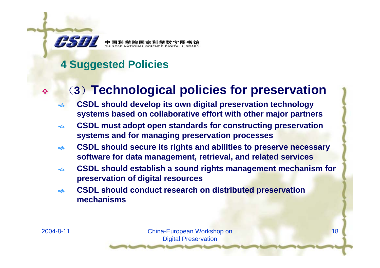

### **4 Suggested Policies**

## (**3** )**Technological policies for preservation**

- $\infty$  **CSDL should develop its own digital preservation technology systems based on collaborative effort with other major partners**
- $\infty$  **CSDL must adopt open standards for constructing preservation systems and for managing preservation processes**
- $\hat{\mathbf{s}}$  **CSDL should secure its rights and abilities to preserve necessary software for data management, retrieval, and related services**
- $\sim$  **CSDL should establish a sound rights management mechanism for preservation of digital resources**
- $\mathfrak{S}$  **CSDL should conduct research on distributed preservation mechanisms**

 $\frac{1}{2}$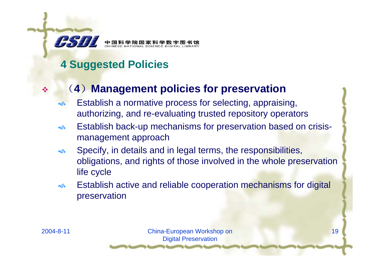

## **4 Suggested Policies**

### (**4** )**Management policies for preservation**

- $\infty$  Establish a normative process for selecting, appraising, authorizing, and re-evaluating trusted repository operators
- $\hat{\mathbf{S}}$  Establish back-up mechanisms for preservation based on crisismanagement approach
- $\infty$  Specify, in details and in legal terms, the responsibilities, obligations, and rights of those involved in the whole preservation life cycle
- $\infty$  Establish active and reliable cooperation mechanisms for digital preservation

嗪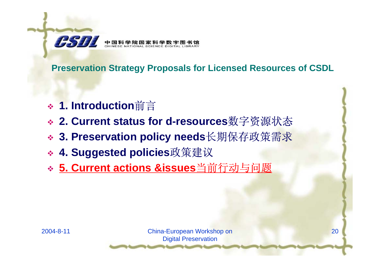

- **1. Introduction**前言
- **2. Current status for d-resources**数字资源状态
- **3. Preservation policy needs**长期保存政策需求
- **4. Suggested policies**政策建议
- **5. Current actions &issues**当前行动与问题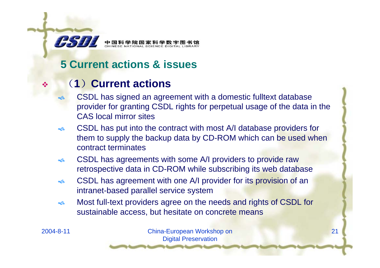

### **5 Current actions & issues**

### (**1**)**Current actions**

- $\blacklozenge$  CSDL has signed an agreement with a domestic fulltext database provider for granting CSDL rights for perpetual usage of the data in the CAS local mirror sites
- $\infty$  CSDL has put into the contract with most A/I database providers for them to supply the backup data by CD-ROM which can be used when contract terminates
- $\sim$  CSDL has agreements with some A/I providers to provide raw retrospective data in CD-ROM while subscribing its web database
- $\mathbf{\hat{S}}$  CSDL has agreement with one A/I provider for its provision of an intranet-based parallel service system
- $\mathfrak{S}$  Most full-text providers agree on the needs and rights of CSDL for sustainable access, but hesitate on concrete means

嗪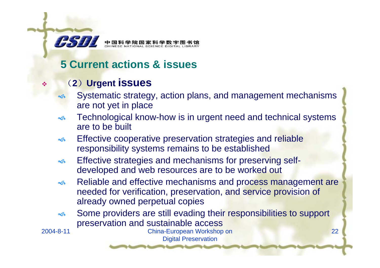

### **5 Current actions & issues**

### (**2** )**Urgent issues**

- $\preccurlyeq$  Systematic strategy, action plans, and management mechanisms are not yet in place
- $\sim$  Technological know-how is in urgent need and technical systems are to be built
- $\infty$  Effective cooperative preservation strategies and reliable responsibility systems remains to be established
- $\infty$  Effective strategies and mechanisms for preserving selfdeveloped and web resources are to be worked out
- $\infty$  Reliable and effective mechanisms and process management are needed for verification, preservation, and service provision of already owned perpetual copies
- $\infty$  Some providers are still evading their responsibilities to support preservation and sustainable access

❖

2004-8-11 China-European Workshop on Digital Preservation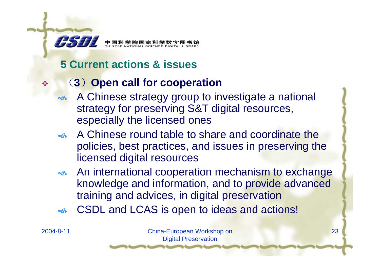

### **5 Current actions & issues**

### (**3** )**Open call for cooperation**

- $\blacklozenge$  A Chinese strategy group to investigate a national strategy for preserving S&T digital resources, especially the licensed ones
- A Chinese round table to share and coordinate the policies, best practices, and issues in preserving the licensed digital resources
- **★ An international cooperation mechanism to exchange** knowledge and information, and to provide advanced training and advices, in digital preservation
- $\infty$ CSDL and LCAS is open to ideas and actions!

 $\frac{1}{2}$